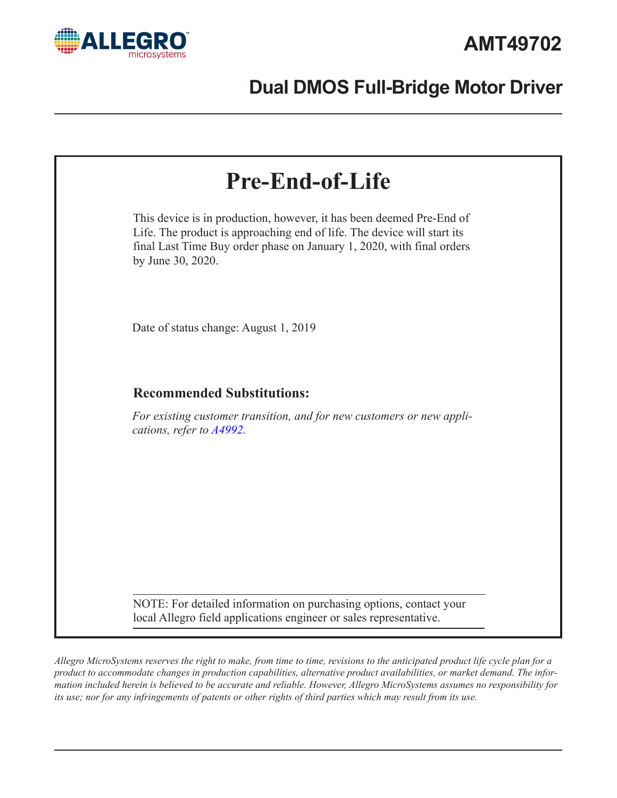

# **Dual DMOS Full-Bridge Motor Driver**

| <b>Pre-End-of-Life</b>                                                                                                                                                                                                                        |  |
|-----------------------------------------------------------------------------------------------------------------------------------------------------------------------------------------------------------------------------------------------|--|
| This device is in production, however, it has been deemed Pre-End of<br>Life. The product is approaching end of life. The device will start its<br>final Last Time Buy order phase on January 1, 2020, with final orders<br>by June 30, 2020. |  |
| Date of status change: August 1, 2019                                                                                                                                                                                                         |  |
| <b>Recommended Substitutions:</b>                                                                                                                                                                                                             |  |
| For existing customer transition, and for new customers or new appli-<br>cations, refer to A4992.                                                                                                                                             |  |
| NOTE: For detailed information on purchasing options, contact your<br>local Allegro field applications engineer or sales representative.                                                                                                      |  |

*Allegro MicroSystems reserves the right to make, from time to time, revisions to the anticipated product life cycle plan for a product to accommodate changes in production capabilities, alternative product availabilities, or market demand. The information included herein is believed to be accurate and reliable. However, Allegro MicroSystems assumes no responsibility for its use; nor for any infringements of patents or other rights of third parties which may result from its use.*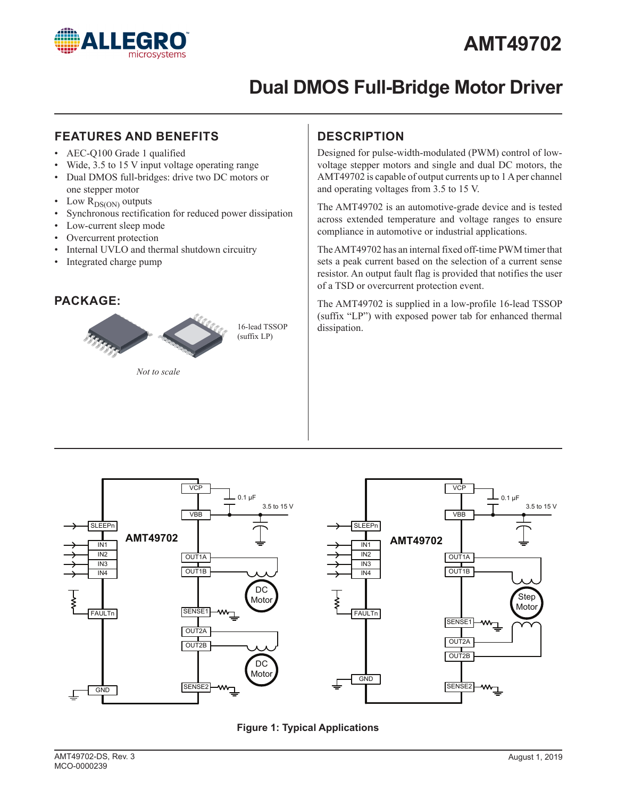

# **AMT49702**

# **Dual DMOS Full-Bridge Motor Driver**

#### **FEATURES AND BENEFITS DESCRIPTION**

- AEC-Q100 Grade 1 qualified
- Wide, 3.5 to 15 V input voltage operating range
- Dual DMOS full-bridges: drive two DC motors or one stepper motor
- Low  $R_{DS(ON)}$  outputs
- Synchronous rectification for reduced power dissipation
- Low-current sleep mode
- Overcurrent protection
- Internal UVLO and thermal shutdown circuitry
- Integrated charge pump

#### **PACKAGE:**



*Not to scale*

Designed for pulse-width-modulated (PWM) control of lowvoltage stepper motors and single and dual DC motors, the AMT49702 is capable of output currents up to 1A per channel and operating voltages from 3.5 to 15 V.

The AMT49702 is an automotive-grade device and is tested across extended temperature and voltage ranges to ensure compliance in automotive or industrial applications.

The AMT49702 has an internal fixed off-time PWM timer that sets a peak current based on the selection of a current sense resistor. An output fault flag is provided that notifies the user of a TSD or overcurrent protection event.

The AMT49702 is supplied in a low-profile 16-lead TSSOP (suffix "LP") with exposed power tab for enhanced thermal dissipation.



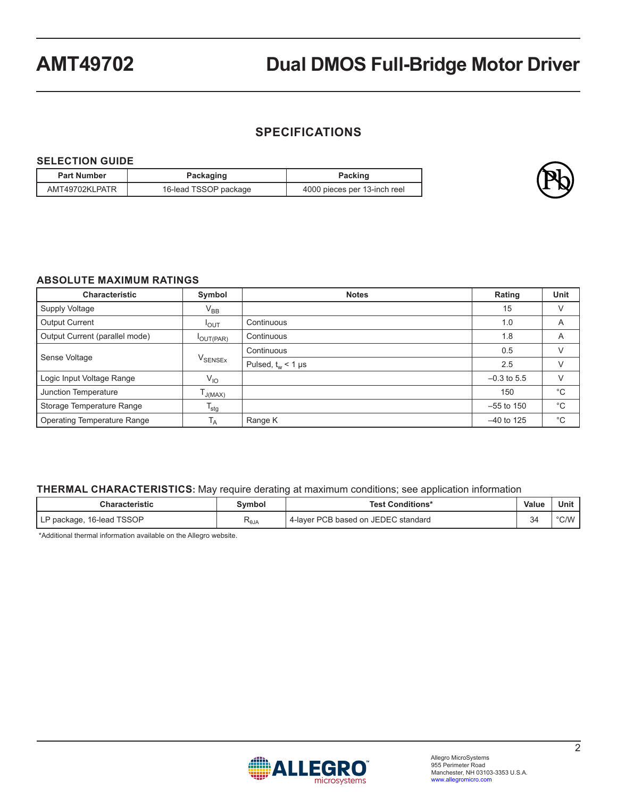### **SPECIFICATIONS**

#### **SELECTION GUIDE**

| <b>Part Number</b> | Packaging             | Packing                      |
|--------------------|-----------------------|------------------------------|
| AMT49702KLPATR     | 16-lead TSSOP package | 4000 pieces per 13-inch reel |



#### **ABSOLUTE MAXIMUM RATINGS**

| <b>Characteristic</b>              | Symbol                    | <b>Notes</b>         | Rating        | Unit         |
|------------------------------------|---------------------------|----------------------|---------------|--------------|
| Supply Voltage                     | $V_{BB}$                  |                      | 15            | V            |
| <b>Output Current</b>              | $I_{OUT}$                 | Continuous           | 1.0           | A            |
| Output Current (parallel mode)     | OUT(PAR)                  | Continuous           | 1.8           | A            |
| Sense Voltage                      | <b>V</b> SENSEX           | Continuous           | 0.5           | V            |
|                                    |                           | Pulsed, $t_w$ < 1 µs | 2.5           | $\vee$       |
| Logic Input Voltage Range          | $V_{IO}$                  |                      | $-0.3$ to 5.5 | V            |
| Junction Temperature               | J(MAX)                    |                      | 150           | $^{\circ}$ C |
| Storage Temperature Range          | $\mathsf{T}_{\text{stg}}$ |                      | $-55$ to 150  | $^{\circ}C$  |
| <b>Operating Temperature Range</b> | ١A                        | Range K              | $-40$ to 125  | $^{\circ}C$  |

#### **THERMAL CHARACTERISTICS:** May require derating at maximum conditions; see application information

| Characteristic                      | Symbol | <b>Test Conditions*</b>             | <b>Value</b> | Unit |
|-------------------------------------|--------|-------------------------------------|--------------|------|
| 16-lead TSSOP<br>' P package,<br>Fг | ι∿θJA  | 4-layer PCB based on JEDEC standard | $\sim$<br>34 | °C/W |

\*Additional thermal information available on the Allegro website.

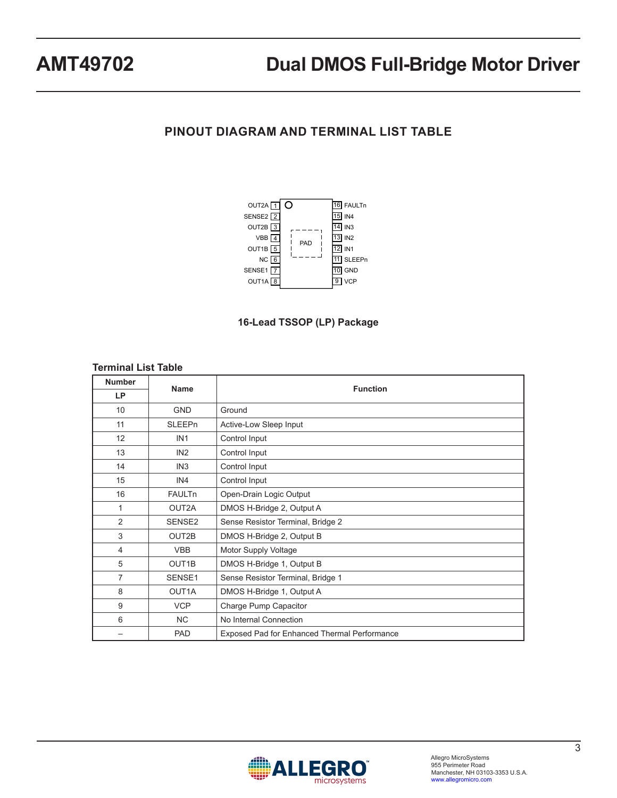## **PINOUT DIAGRAM AND TERMINAL LIST TABLE**





#### **Terminal List Table**

| <b>Number</b>  | <b>Name</b>        | <b>Function</b>                                     |  |  |  |
|----------------|--------------------|-----------------------------------------------------|--|--|--|
| LP             |                    |                                                     |  |  |  |
| 10             | <b>GND</b>         | Ground                                              |  |  |  |
| 11             | <b>SLEEPn</b>      | Active-Low Sleep Input                              |  |  |  |
| 12             | IN <sub>1</sub>    | Control Input                                       |  |  |  |
| 13             | IN2                | Control Input                                       |  |  |  |
| 14             | IN <sub>3</sub>    | Control Input                                       |  |  |  |
| 15             | IN4                | Control Input                                       |  |  |  |
| 16             | <b>FAULTn</b>      | Open-Drain Logic Output                             |  |  |  |
| 1              | OUT2A              | DMOS H-Bridge 2, Output A                           |  |  |  |
| 2              | SENSE2             | Sense Resistor Terminal, Bridge 2                   |  |  |  |
| 3              | OUT2B              | DMOS H-Bridge 2, Output B                           |  |  |  |
| $\overline{4}$ | <b>VBB</b>         | Motor Supply Voltage                                |  |  |  |
| 5              | OUT <sub>1</sub> B | DMOS H-Bridge 1, Output B                           |  |  |  |
| 7              | SENSE1             | Sense Resistor Terminal, Bridge 1                   |  |  |  |
| 8              | OUT1A              | DMOS H-Bridge 1, Output A                           |  |  |  |
| 9              | <b>VCP</b>         | Charge Pump Capacitor                               |  |  |  |
| 6              | <b>NC</b>          | No Internal Connection                              |  |  |  |
|                | PAD                | <b>Exposed Pad for Enhanced Thermal Performance</b> |  |  |  |

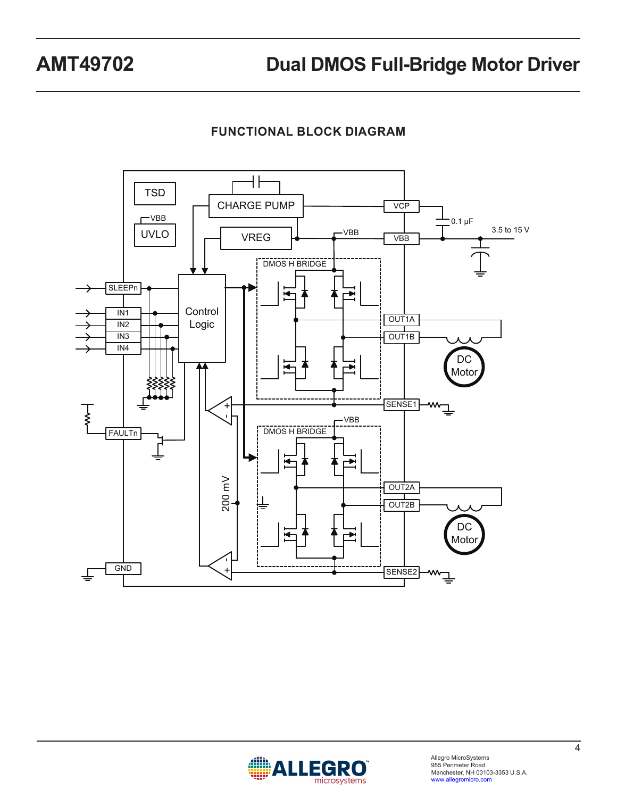**FUNCTIONAL BLOCK DIAGRAM**



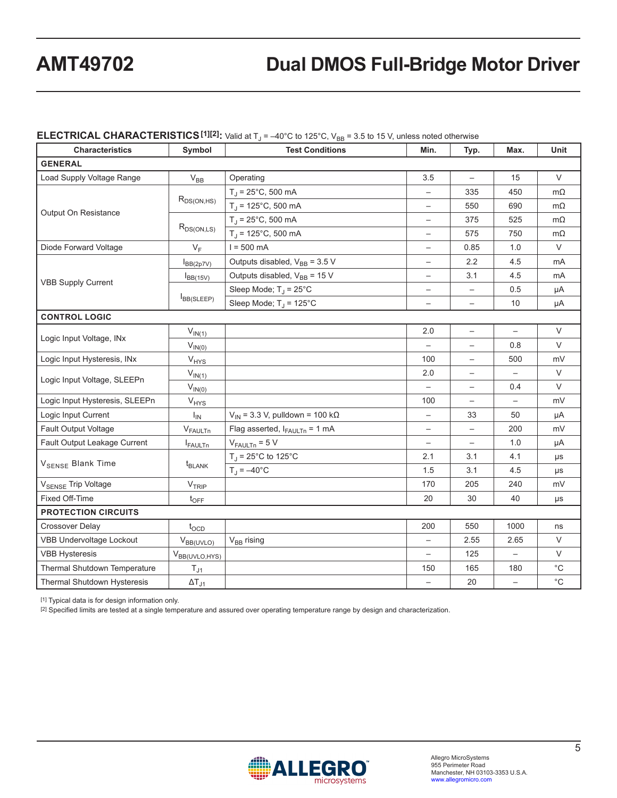#### **ELECTRICAL CHARACTERISTICS**<sup>[1][2]</sup>: Valid at T<sub>J</sub> = -40°C to 125°C, V<sub>BB</sub> = 3.5 to 15 V, unless noted otherwise

| <b>Characteristics</b>          | Symbol             | <b>Test Conditions</b>                             | Min.                     | Typ.                     | Max.              | Unit        |  |  |
|---------------------------------|--------------------|----------------------------------------------------|--------------------------|--------------------------|-------------------|-------------|--|--|
| <b>GENERAL</b>                  |                    |                                                    |                          |                          |                   |             |  |  |
| Load Supply Voltage Range       | $V_{BB}$           | Operating                                          | 3.5                      |                          | 15                | $\vee$      |  |  |
|                                 |                    | $T_{\rm J}$ = 25°C, 500 mA                         | $\overline{\phantom{0}}$ | 335                      | 450               | $m\Omega$   |  |  |
|                                 | $R_{DS(ON,HS)}$    | $T_{\rm J}$ = 125°C, 500 mA                        | $\overline{\phantom{0}}$ | 550                      | 690               | $m\Omega$   |  |  |
| Output On Resistance            |                    | $T_{\rm d}$ = 25°C, 500 mA                         |                          | 375                      | 525               | $m\Omega$   |  |  |
|                                 | $R_{DS(ON,LS)}$    | $T_{\rm J}$ = 125°C, 500 mA                        | $\overline{\phantom{m}}$ | 575                      | 750               | $m\Omega$   |  |  |
| Diode Forward Voltage           | $V_F$              | $I = 500$ mA                                       |                          | 0.85                     | 1.0               | $\vee$      |  |  |
|                                 | $I_{BB(2p7V)}$     | Outputs disabled, $V_{BB}$ = 3.5 V                 | $\overline{\phantom{0}}$ | 2.2                      | 4.5               | mA          |  |  |
| <b>VBB Supply Current</b>       | $I_{BB(15V)}$      | Outputs disabled, V <sub>BB</sub> = 15 V           | $\overline{\phantom{m}}$ | 3.1                      | 4.5               | mA          |  |  |
|                                 |                    | Sleep Mode; $T_J = 25^{\circ}C$                    | $\overline{\phantom{m}}$ | $\qquad \qquad -$        | 0.5               | μA          |  |  |
|                                 | $I_{BB(SLEEP)}$    | Sleep Mode; $T_J = 125^{\circ}C$                   | $\qquad \qquad -$        | $\qquad \qquad -$        | 10                | μA          |  |  |
| <b>CONTROL LOGIC</b>            |                    |                                                    |                          |                          |                   |             |  |  |
| Logic Input Voltage, INx        | $V_{IN(1)}$        |                                                    | 2.0                      | $\qquad \qquad -$        | $\qquad \qquad -$ | $\vee$      |  |  |
|                                 | $V_{IN(0)}$        |                                                    |                          | $\overline{\phantom{0}}$ | 0.8               | $\vee$      |  |  |
| Logic Input Hysteresis, INx     | $V_{HYS}$          |                                                    | 100                      |                          | 500               | mV          |  |  |
| Logic Input Voltage, SLEEPn     | $V_{IN(1)}$        |                                                    | 2.0                      | $\qquad \qquad -$        | $\qquad \qquad -$ | $\vee$      |  |  |
|                                 | $V_{IN(0)}$        |                                                    | $\overline{a}$           | $\overline{\phantom{0}}$ | 0.4               | $\vee$      |  |  |
| Logic Input Hysteresis, SLEEPn  | $V_{HYS}$          |                                                    | 100                      |                          |                   | mV          |  |  |
| Logic Input Current             | $I_{IN}$           | $V_{\text{IN}}$ = 3.3 V, pulldown = 100 k $\Omega$ | $\overline{\phantom{0}}$ | 33                       | 50                | μA          |  |  |
| Fault Output Voltage            | $V_{FAULTn}$       | Flag asserted, $I_{FAULTn} = 1 mA$                 | $\overline{\phantom{0}}$ | $\overline{\phantom{0}}$ | 200               | mV          |  |  |
| Fault Output Leakage Current    | <b>I</b> FAULTn    | $V_{FAULTn} = 5 V$                                 |                          |                          | 1.0               | μA          |  |  |
| V <sub>SENSE</sub> Blank Time   |                    | $T_{\text{J}}$ = 25°C to 125°C                     | 2.1                      | 3.1                      | 4.1               | μs          |  |  |
|                                 | $t_{BLANK}$        | $T_{\rm J} = -40^{\circ}$ C                        | 1.5                      | 3.1                      | 4.5               | $\mu s$     |  |  |
| V <sub>SENSE</sub> Trip Voltage | V <sub>TRIP</sub>  |                                                    | 170                      | 205                      | 240               | mV          |  |  |
| Fixed Off-Time                  | $t_{\text{OFF}}$   |                                                    | 20                       | 30                       | 40                | μs          |  |  |
| <b>PROTECTION CIRCUITS</b>      |                    |                                                    |                          |                          |                   |             |  |  |
| <b>Crossover Delay</b>          | $t_{\text{OCD}}$   |                                                    | 200                      | 550                      | 1000              | ns          |  |  |
| VBB Undervoltage Lockout        | $V_{BB(UVLO)}$     | $V_{BB}$ rising                                    |                          | 2.55                     | 2.65              | $\vee$      |  |  |
| <b>VBB Hysteresis</b>           | $V_{BB(UVLO,HYS)}$ |                                                    | $\overline{\phantom{m}}$ | 125                      | $\qquad \qquad -$ | V           |  |  |
| Thermal Shutdown Temperature    | $T_{J1}$           |                                                    | 150                      | 165                      | 180               | $^{\circ}C$ |  |  |
| Thermal Shutdown Hysteresis     | $\Delta T_{J1}$    |                                                    |                          | 20                       |                   | $^{\circ}C$ |  |  |

[1] Typical data is for design information only.

[2] Specified limits are tested at a single temperature and assured over operating temperature range by design and characterization.

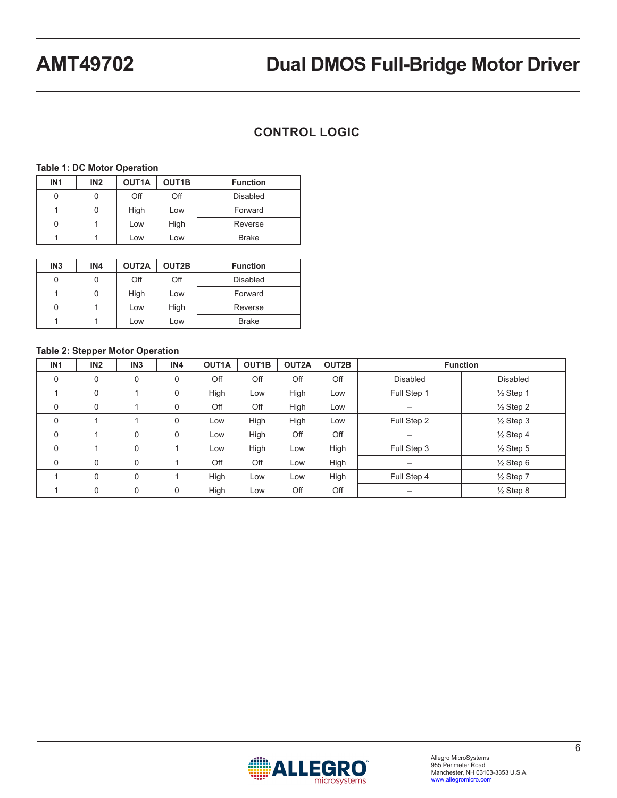## **CONTROL LOGIC**

#### **Table 1: DC Motor Operation**

| IN <sub>1</sub> | IN2 | OUT1A | OUT <sub>1</sub> B | <b>Function</b> |
|-----------------|-----|-------|--------------------|-----------------|
|                 |     | Off   | Off                | Disabled        |
|                 |     | High  | Low                | Forward         |
|                 |     | Low   | High               | Reverse         |
|                 |     | Low   | Low                | <b>Brake</b>    |

| IN <sub>3</sub> | IN4 | OUT2A | OUT2B | <b>Function</b> |
|-----------------|-----|-------|-------|-----------------|
|                 |     | Off   | Off   | Disabled        |
|                 | 0   | High  | Low   | Forward         |
|                 |     | Low   | High  | Reverse         |
|                 |     | Low   | Low   | <b>Brake</b>    |

#### **Table 2: Stepper Motor Operation**

| IN <sub>1</sub> | IN <sub>2</sub> | IN <sub>3</sub> | IN4 | OUT1A | OUT <sub>1</sub> B | OUT2A | OUT2B | <b>Function</b> |                      |
|-----------------|-----------------|-----------------|-----|-------|--------------------|-------|-------|-----------------|----------------------|
| $\mathbf 0$     | $\mathbf 0$     | $\mathbf 0$     | 0   | Off   | Off                | Off   | Off   | <b>Disabled</b> | <b>Disabled</b>      |
|                 | 0               |                 | 0   | High  | Low                | High  | Low   | Full Step 1     | $\frac{1}{2}$ Step 1 |
| 0               | $\mathbf 0$     |                 | 0   | Off   | Off                | High  | Low   |                 | $\frac{1}{2}$ Step 2 |
| 0               |                 |                 | 0   | Low   | High               | High  | Low   | Full Step 2     | $\frac{1}{2}$ Step 3 |
| 0               |                 | 0               | 0   | Low   | High               | Off   | Off   |                 | $\frac{1}{2}$ Step 4 |
| 0               |                 | 0               |     | Low   | High               | Low   | High  | Full Step 3     | $\frac{1}{2}$ Step 5 |
| 0               | $\mathbf 0$     | 0               |     | Off   | Off                | Low   | High  |                 | $\frac{1}{2}$ Step 6 |
|                 | $\mathbf 0$     | 0               |     | High  | Low                | Low   | High  | Full Step 4     | $\frac{1}{2}$ Step 7 |
|                 | 0               | 0               | 0   | High  | Low                | Off   | Off   |                 | $\frac{1}{2}$ Step 8 |

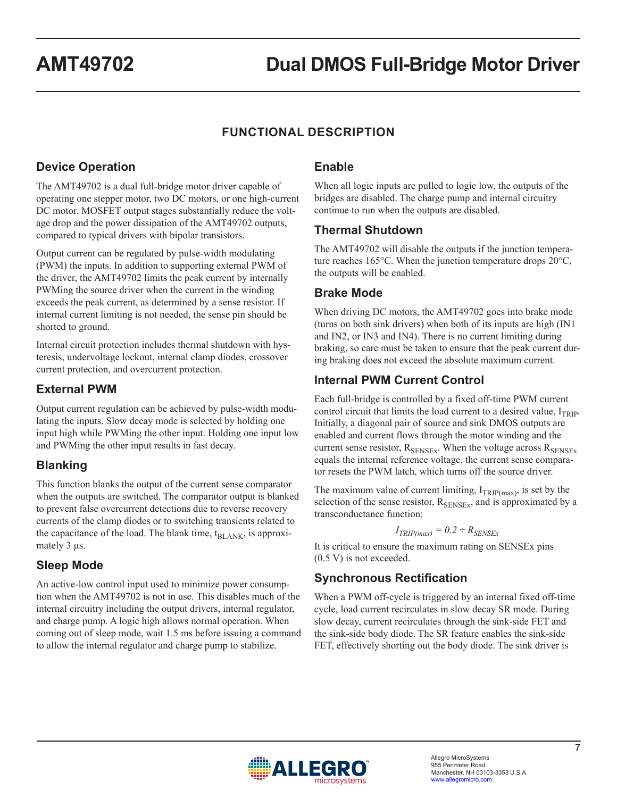## **FUNCTIONAL DESCRIPTION**

## **Device Operation**

The AMT49702 is a dual full-bridge motor driver capable of operating one stepper motor, two DC motors, or one high-current DC motor. MOSFET output stages substantially reduce the voltage drop and the power dissipation of the AMT49702 outputs, compared to typical drivers with bipolar transistors.

Output current can be regulated by pulse-width modulating (PWM) the inputs. In addition to supporting external PWM of the driver, the AMT49702 limits the peak current by internally PWMing the source driver when the current in the winding exceeds the peak current, as determined by a sense resistor. If internal current limiting is not needed, the sense pin should be shorted to ground.

Internal circuit protection includes thermal shutdown with hysteresis, undervoltage lockout, internal clamp diodes, crossover current protection, and overcurrent protection.

### **External PWM**

Output current regulation can be achieved by pulse-width modulating the inputs. Slow decay mode is selected by holding one input high while PWMing the other input. Holding one input low and PWMing the other input results in fast decay.

## **Blanking**

This function blanks the output of the current sense comparator when the outputs are switched. The comparator output is blanked to prevent false overcurrent detections due to reverse recovery currents of the clamp diodes or to switching transients related to the capacitance of the load. The blank time,  $t_{BL,ANK}$ , is approximately 3 μs.

## **Sleep Mode**

An active-low control input used to minimize power consumption when the AMT49702 is not in use. This disables much of the internal circuitry including the output drivers, internal regulator, and charge pump. A logic high allows normal operation. When coming out of sleep mode, wait 1.5 ms before issuing a command to allow the internal regulator and charge pump to stabilize.

### **Enable**

When all logic inputs are pulled to logic low, the outputs of the bridges are disabled. The charge pump and internal circuitry continue to run when the outputs are disabled.

#### **Thermal Shutdown**

The AMT49702 will disable the outputs if the junction temperature reaches 165°C. When the junction temperature drops 20°C, the outputs will be enabled.

### **Brake Mode**

When driving DC motors, the AMT49702 goes into brake mode (turns on both sink drivers) when both of its inputs are high (IN1 and IN2, or IN3 and IN4). There is no current limiting during braking, so care must be taken to ensure that the peak current during braking does not exceed the absolute maximum current.

### **Internal PWM Current Control**

Each full-bridge is controlled by a fixed off-time PWM current control circuit that limits the load current to a desired value,  $I_{TRIP}$ . Initially, a diagonal pair of source and sink DMOS outputs are enabled and current flows through the motor winding and the current sense resistor,  $R_{\text{SENSEx}}$ . When the voltage across  $R_{\text{SENSEx}}$ equals the internal reference voltage, the current sense comparator resets the PWM latch, which turns off the source driver.

The maximum value of current limiting,  $I_{TRIP(max)}$ , is set by the selection of the sense resistor,  $R_{\text{SENSE}x}$ , and is approximated by a transconductance function:

#### $I_{TRIP(max)} = 0.2 \div R_{SENSEx}$

It is critical to ensure the maximum rating on SENSEx pins (0.5 V) is not exceeded.

### **Synchronous Rectification**

When a PWM off-cycle is triggered by an internal fixed off-time cycle, load current recirculates in slow decay SR mode. During slow decay, current recirculates through the sink-side FET and the sink-side body diode. The SR feature enables the sink-side FET, effectively shorting out the body diode. The sink driver is

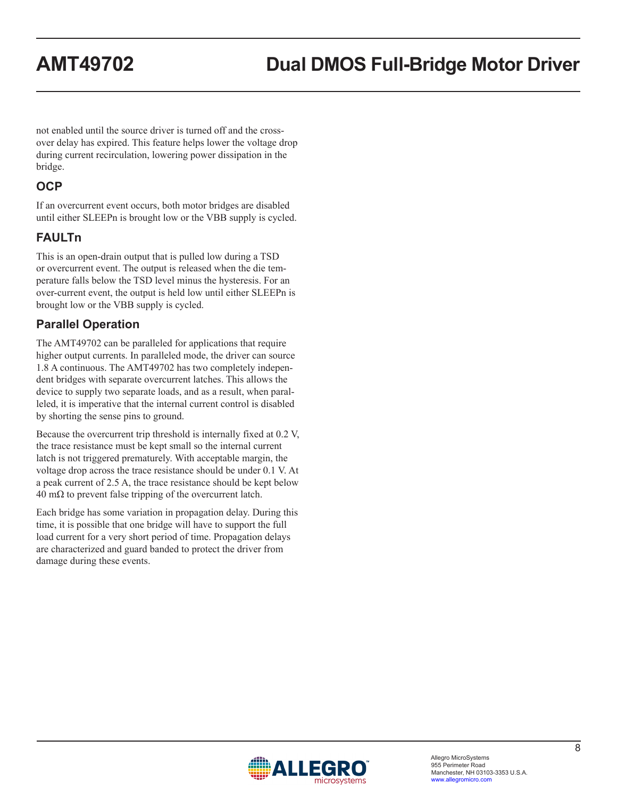not enabled until the source driver is turned off and the crossover delay has expired. This feature helps lower the voltage drop during current recirculation, lowering power dissipation in the bridge.

### **OCP**

If an overcurrent event occurs, both motor bridges are disabled until either SLEEPn is brought low or the VBB supply is cycled.

## **FAULTn**

This is an open-drain output that is pulled low during a TSD or overcurrent event. The output is released when the die temperature falls below the TSD level minus the hysteresis. For an over-current event, the output is held low until either SLEEPn is brought low or the VBB supply is cycled.

## **Parallel Operation**

The AMT49702 can be paralleled for applications that require higher output currents. In paralleled mode, the driver can source 1.8 A continuous. The AMT49702 has two completely independent bridges with separate overcurrent latches. This allows the device to supply two separate loads, and as a result, when paralleled, it is imperative that the internal current control is disabled by shorting the sense pins to ground.

Because the overcurrent trip threshold is internally fixed at 0.2 V, the trace resistance must be kept small so the internal current latch is not triggered prematurely. With acceptable margin, the voltage drop across the trace resistance should be under 0.1 V. At a peak current of 2.5 A, the trace resistance should be kept below  $40 \text{ m}\Omega$  to prevent false tripping of the overcurrent latch.

Each bridge has some variation in propagation delay. During this time, it is possible that one bridge will have to support the full load current for a very short period of time. Propagation delays are characterized and guard banded to protect the driver from damage during these events.

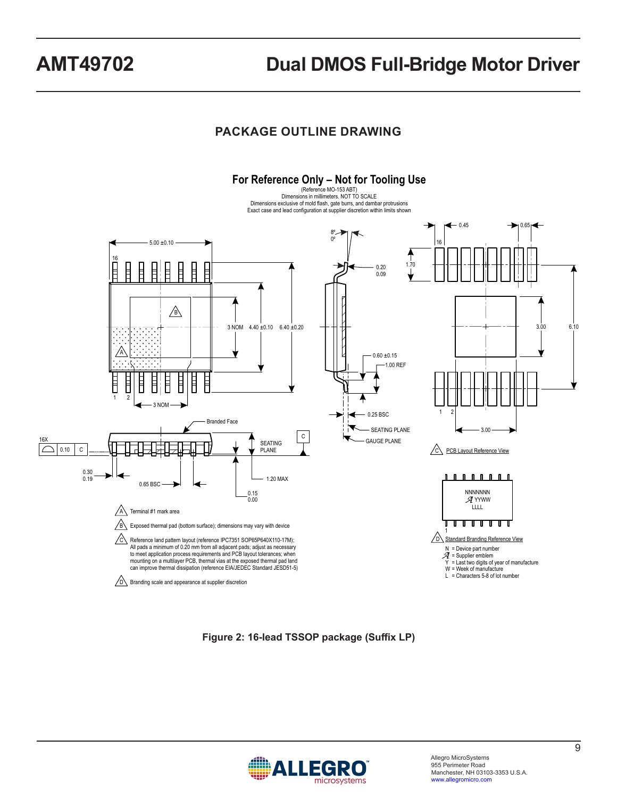## **PACKAGE OUTLINE DRAWING**



**Figure 2: 16-lead TSSOP package (Suffix LP)**